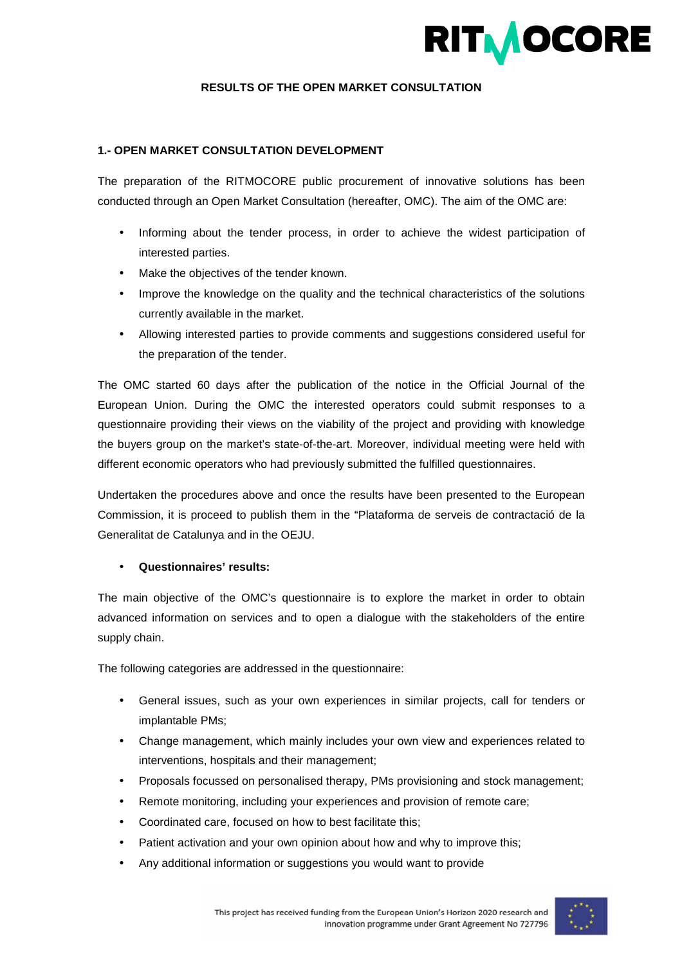

## **RESULTS OF THE OPEN MARKET CONSULTATION**

#### **1.- OPEN MARKET CONSULTATION DEVELOPMENT**

The preparation of the RITMOCORE public procurement of innovative solutions has been conducted through an Open Market Consultation (hereafter, OMC). The aim of the OMC are:

- Informing about the tender process, in order to achieve the widest participation of interested parties.
- Make the objectives of the tender known.
- Improve the knowledge on the quality and the technical characteristics of the solutions currently available in the market.
- Allowing interested parties to provide comments and suggestions considered useful for the preparation of the tender.

The OMC started 60 days after the publication of the notice in the Official Journal of the European Union. During the OMC the interested operators could submit responses to a questionnaire providing their views on the viability of the project and providing with knowledge the buyers group on the market's state-of-the-art. Moreover, individual meeting were held with different economic operators who had previously submitted the fulfilled questionnaires.

Undertaken the procedures above and once the results have been presented to the European Commission, it is proceed to publish them in the "Plataforma de serveis de contractació de la Generalitat de Catalunya and in the OEJU.

### • **Questionnaires' results:**

The main objective of the OMC's questionnaire is to explore the market in order to obtain advanced information on services and to open a dialogue with the stakeholders of the entire supply chain.

The following categories are addressed in the questionnaire:

- General issues, such as your own experiences in similar projects, call for tenders or implantable PMs;
- Change management, which mainly includes your own view and experiences related to interventions, hospitals and their management;
- Proposals focussed on personalised therapy, PMs provisioning and stock management;
- Remote monitoring, including your experiences and provision of remote care;
- Coordinated care, focused on how to best facilitate this;
- Patient activation and your own opinion about how and why to improve this;
- Any additional information or suggestions you would want to provide

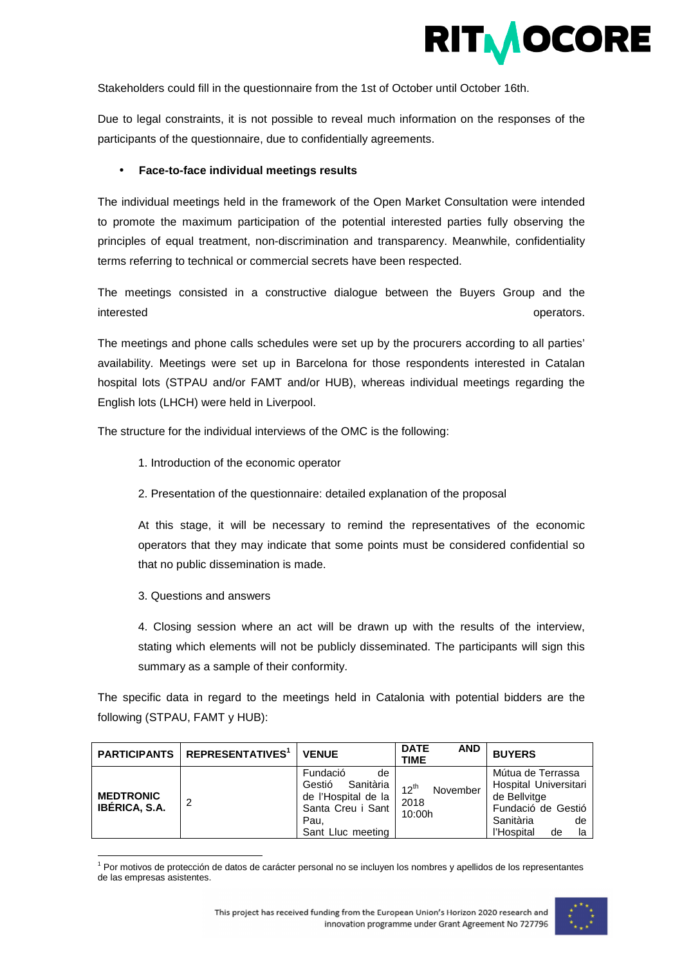

Stakeholders could fill in the questionnaire from the 1st of October until October 16th.

Due to legal constraints, it is not possible to reveal much information on the responses of the participants of the questionnaire, due to confidentially agreements.

## • **Face-to-face individual meetings results**

The individual meetings held in the framework of the Open Market Consultation were intended to promote the maximum participation of the potential interested parties fully observing the principles of equal treatment, non-discrimination and transparency. Meanwhile, confidentiality terms referring to technical or commercial secrets have been respected.

The meetings consisted in a constructive dialogue between the Buyers Group and the interested **operators.** The contract of the contract of the contract of the contract of the contract of the contract of the contract of the contract of the contract of the contract of the contract of the contract of the co

The meetings and phone calls schedules were set up by the procurers according to all parties' availability. Meetings were set up in Barcelona for those respondents interested in Catalan hospital lots (STPAU and/or FAMT and/or HUB), whereas individual meetings regarding the English lots (LHCH) were held in Liverpool.

The structure for the individual interviews of the OMC is the following:

- 1. Introduction of the economic operator
- 2. Presentation of the questionnaire: detailed explanation of the proposal

At this stage, it will be necessary to remind the representatives of the economic operators that they may indicate that some points must be considered confidential so that no public dissemination is made.

3. Questions and answers

l

4. Closing session where an act will be drawn up with the results of the interview, stating which elements will not be publicly disseminated. The participants will sign this summary as a sample of their conformity.

The specific data in regard to the meetings held in Catalonia with potential bidders are the following (STPAU, FAMT y HUB):

|                                          | <b>PARTICIPANTS REPRESENTATIVES</b> <sup>1</sup> | <b>VENUE</b>                                                                                                   | <b>DATE</b><br><b>AND</b><br><b>TIME</b> | <b>BUYERS</b>                                                                                                                 |
|------------------------------------------|--------------------------------------------------|----------------------------------------------------------------------------------------------------------------|------------------------------------------|-------------------------------------------------------------------------------------------------------------------------------|
| <b>MEDTRONIC</b><br><b>IBÉRICA, S.A.</b> | 2                                                | Fundació<br>de<br>Sanitària<br>Gestió<br>de l'Hospital de la<br>Santa Creu i Sant<br>Pau,<br>Sant Lluc meeting | $12^{th}$<br>November<br>2018<br>10:00h  | Mútua de Terrassa<br>Hospital Universitari<br>de Bellvitge<br>Fundació de Gestió<br>Sanitària<br>de<br>l'Hospital<br>de<br>la |

<sup>&</sup>lt;sup>1</sup> Por motivos de protección de datos de carácter personal no se incluyen los nombres y apellidos de los representantes de las empresas asistentes.

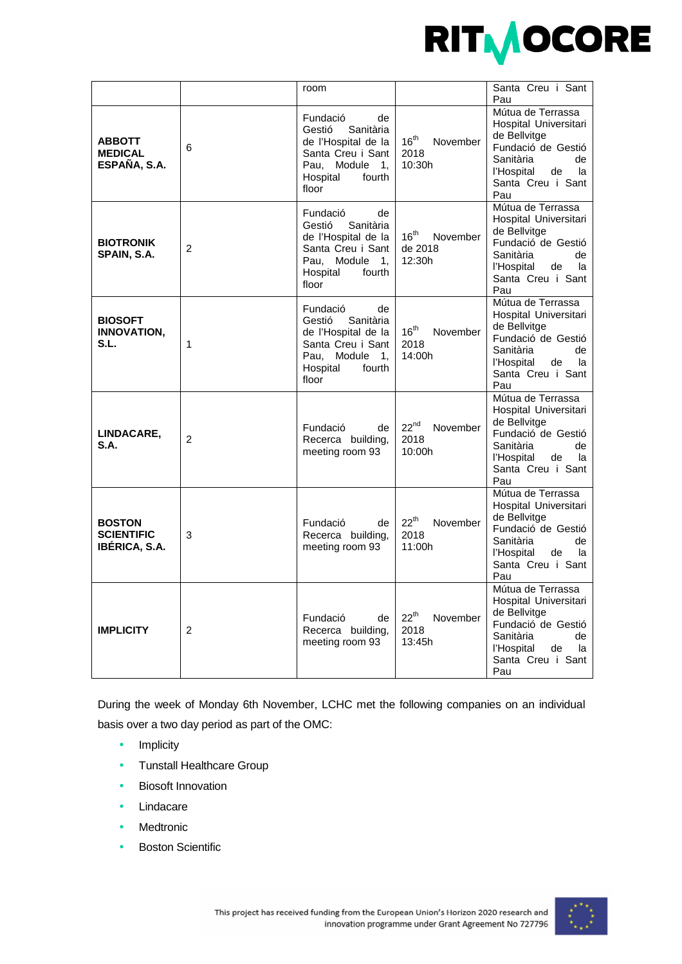

|                                                     |   | room                                                                                                                                  |                                                   | Santa Creu i Sant<br>Pau                                                                                                                                  |
|-----------------------------------------------------|---|---------------------------------------------------------------------------------------------------------------------------------------|---------------------------------------------------|-----------------------------------------------------------------------------------------------------------------------------------------------------------|
| <b>ABBOTT</b><br><b>MEDICAL</b><br>ESPAÑA, S.A.     | 6 | Fundació<br>de<br>Gestió<br>Sanitària<br>de l'Hospital de la<br>Santa Creu i Sant<br>Pau, Module 1,<br>Hospital<br>fourth<br>floor    | $16^{th}$<br>November<br>2018<br>10:30h           | Mútua de Terrassa<br>Hospital Universitari<br>de Bellvitge<br>Fundació de Gestió<br>Sanitària<br>de<br>l'Hospital<br>la<br>de<br>Santa Creu i Sant<br>Pau |
| <b>BIOTRONIK</b><br>SPAIN, S.A.                     | 2 | Fundació<br>de<br>Sanitària<br>Gestió<br>de l'Hospital de la<br>Santa Creu i Sant<br>Pau, Module 1,<br>Hospital<br>fourth<br>floor    | 16 <sup>th</sup><br>November<br>de 2018<br>12:30h | Mútua de Terrassa<br>Hospital Universitari<br>de Bellvitge<br>Fundació de Gestió<br>Sanitària<br>de<br>la<br>l'Hospital<br>de<br>Santa Creu i Sant<br>Pau |
| <b>BIOSOFT</b><br><b>INNOVATION,</b><br>S.L.        | 1 | Fundació<br>de<br>Sanitària<br>Gestió<br>de l'Hospital de la<br>Santa Creu i Sant<br>Pau,<br>Module 1.<br>Hospital<br>fourth<br>floor | 16 <sup>th</sup><br>November<br>2018<br>14:00h    | Mútua de Terrassa<br>Hospital Universitari<br>de Bellvitge<br>Fundació de Gestió<br>Sanitària<br>de<br>l'Hospital<br>de<br>la<br>Santa Creu i Sant<br>Pau |
| LINDACARE,<br>S.A.                                  | 2 | Fundació<br>de<br>Recerca building,<br>meeting room 93                                                                                | $22^{nd}$<br>November<br>2018<br>10:00h           | Mútua de Terrassa<br>Hospital Universitari<br>de Bellvitge<br>Fundació de Gestió<br>Sanitària<br>de<br>l'Hospital<br>la<br>de<br>Santa Creu i Sant<br>Pau |
| <b>BOSTON</b><br><b>SCIENTIFIC</b><br>IBÉRICA, S.A. | 3 | Fundació<br>de<br>Recerca building,<br>meeting room 93                                                                                | $22^{th}$<br>November<br>2018<br>11:00h           | Mútua de Terrassa<br>Hospital Universitari<br>de Bellvitge<br>Fundació de Gestió<br>Sanitària<br>de<br>l'Hospital<br>la<br>de<br>Santa Creu i Sant<br>Pau |
| <b>IMPLICITY</b>                                    | 2 | Fundació<br>de<br>Recerca building,<br>meeting room 93                                                                                | $22^{th}$<br>November<br>2018<br>13:45h           | Mútua de Terrassa<br>Hospital Universitari<br>de Bellvitge<br>Fundació de Gestió<br>Sanitària<br>de<br>l'Hospital<br>de<br>la<br>Santa Creu i Sant<br>Pau |

During the week of Monday 6th November, LCHC met the following companies on an individual basis over a two day period as part of the OMC:

- Implicity
- Tunstall Healthcare Group
- Biosoft Innovation
- Lindacare
- Medtronic
- **Boston Scientific**

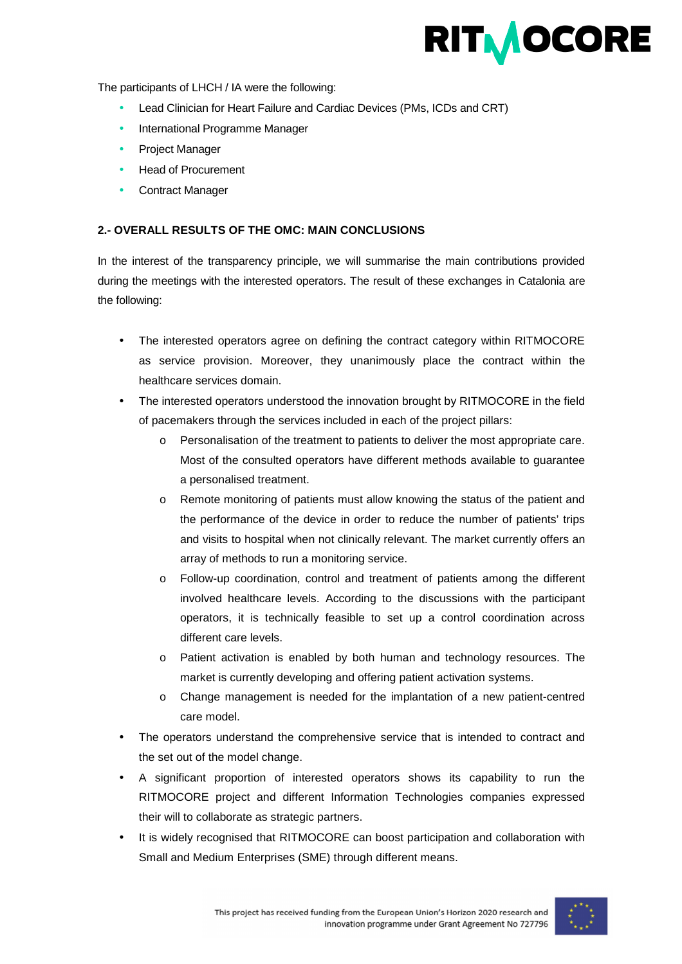

The participants of LHCH / IA were the following:

- Lead Clinician for Heart Failure and Cardiac Devices (PMs, ICDs and CRT)
- International Programme Manager
- Project Manager
- Head of Procurement
- Contract Manager

# **2.- OVERALL RESULTS OF THE OMC: MAIN CONCLUSIONS**

In the interest of the transparency principle, we will summarise the main contributions provided during the meetings with the interested operators. The result of these exchanges in Catalonia are the following:

- The interested operators agree on defining the contract category within RITMOCORE as service provision. Moreover, they unanimously place the contract within the healthcare services domain.
- The interested operators understood the innovation brought by RITMOCORE in the field of pacemakers through the services included in each of the project pillars:
	- o Personalisation of the treatment to patients to deliver the most appropriate care. Most of the consulted operators have different methods available to guarantee a personalised treatment.
	- o Remote monitoring of patients must allow knowing the status of the patient and the performance of the device in order to reduce the number of patients' trips and visits to hospital when not clinically relevant. The market currently offers an array of methods to run a monitoring service.
	- o Follow-up coordination, control and treatment of patients among the different involved healthcare levels. According to the discussions with the participant operators, it is technically feasible to set up a control coordination across different care levels.
	- o Patient activation is enabled by both human and technology resources. The market is currently developing and offering patient activation systems.
	- o Change management is needed for the implantation of a new patient-centred care model.
- The operators understand the comprehensive service that is intended to contract and the set out of the model change.
- A significant proportion of interested operators shows its capability to run the RITMOCORE project and different Information Technologies companies expressed their will to collaborate as strategic partners.
- It is widely recognised that RITMOCORE can boost participation and collaboration with Small and Medium Enterprises (SME) through different means.